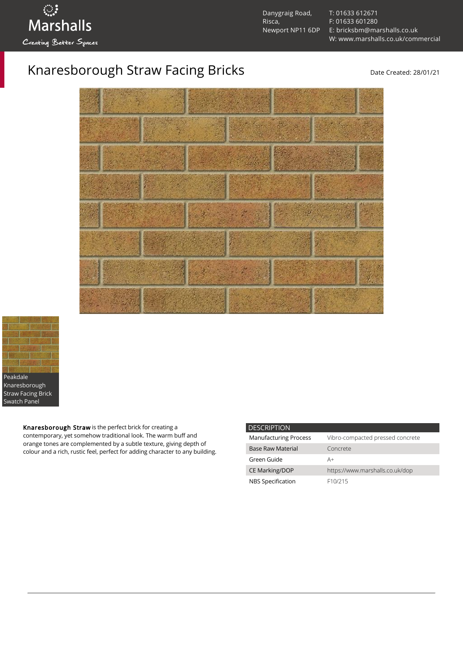

[T: 01633 612671](tel:01633%20612671) [F: 01633 601280](tel:01633%20601280) [E: bricksbm@marshalls.co.uk](mailto:bricksbm@marshalls.co.uk) [W: www.marshalls.co.uk/commercial](https://www.marshalls.co.uk/commercial)

## Knaresborough Straw Facing Bricks<br>
Date Created: 28/01/21





Knaresborough Straw is the perfect brick for creating a contemporary, yet somehow traditional look. The warm buff and orange tones are complemented by a subtle texture, giving depth of colour and a rich, rustic feel, perfect for adding character to any building.

| <b>DESCRIPTION</b>           |                                  |
|------------------------------|----------------------------------|
| <b>Manufacturing Process</b> | Vibro-compacted pressed concrete |
| <b>Base Raw Material</b>     | Concrete                         |
| Green Guide                  | A+                               |
| <b>CE Marking/DOP</b>        | https://www.marshalls.co.uk/dop  |
| NBS Specification            | F <sub>10</sub> /215             |